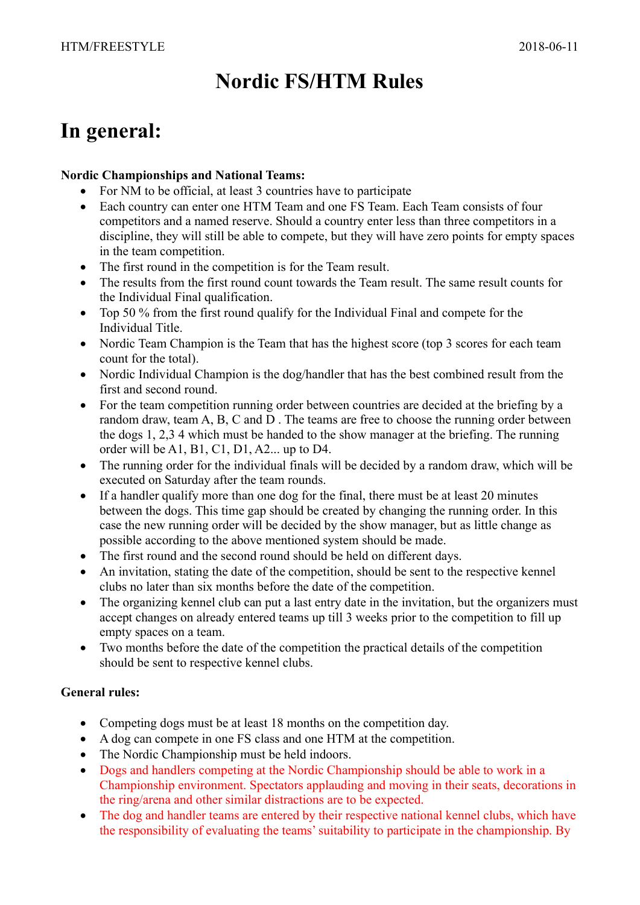# Nordic FS/HTM Rules

# In general:

## Nordic Championships and National Teams:

- For NM to be official, at least 3 countries have to participate
- Each country can enter one HTM Team and one FS Team. Each Team consists of four competitors and a named reserve. Should a country enter less than three competitors in a discipline, they will still be able to compete, but they will have zero points for empty spaces in the team competition.
- The first round in the competition is for the Team result.
- The results from the first round count towards the Team result. The same result counts for the Individual Final qualification.
- Top 50 % from the first round qualify for the Individual Final and compete for the Individual Title.
- Nordic Team Champion is the Team that has the highest score (top 3 scores for each team count for the total).
- Nordic Individual Champion is the dog/handler that has the best combined result from the first and second round.
- For the team competition running order between countries are decided at the briefing by a random draw, team A, B, C and D . The teams are free to choose the running order between the dogs 1, 2,3 4 which must be handed to the show manager at the briefing. The running order will be A1, B1, C1, D1, A2... up to D4.
- The running order for the individual finals will be decided by a random draw, which will be executed on Saturday after the team rounds.
- If a handler qualify more than one dog for the final, there must be at least 20 minutes between the dogs. This time gap should be created by changing the running order. In this case the new running order will be decided by the show manager, but as little change as possible according to the above mentioned system should be made.
- The first round and the second round should be held on different days.
- An invitation, stating the date of the competition, should be sent to the respective kennel clubs no later than six months before the date of the competition.
- The organizing kennel club can put a last entry date in the invitation, but the organizers must accept changes on already entered teams up till 3 weeks prior to the competition to fill up empty spaces on a team.
- Two months before the date of the competition the practical details of the competition should be sent to respective kennel clubs.

# General rules:

- Competing dogs must be at least 18 months on the competition day.
- A dog can compete in one FS class and one HTM at the competition.
- The Nordic Championship must be held indoors.
- Dogs and handlers competing at the Nordic Championship should be able to work in a Championship environment. Spectators applauding and moving in their seats, decorations in the ring/arena and other similar distractions are to be expected.
- The dog and handler teams are entered by their respective national kennel clubs, which have the responsibility of evaluating the teams' suitability to participate in the championship. By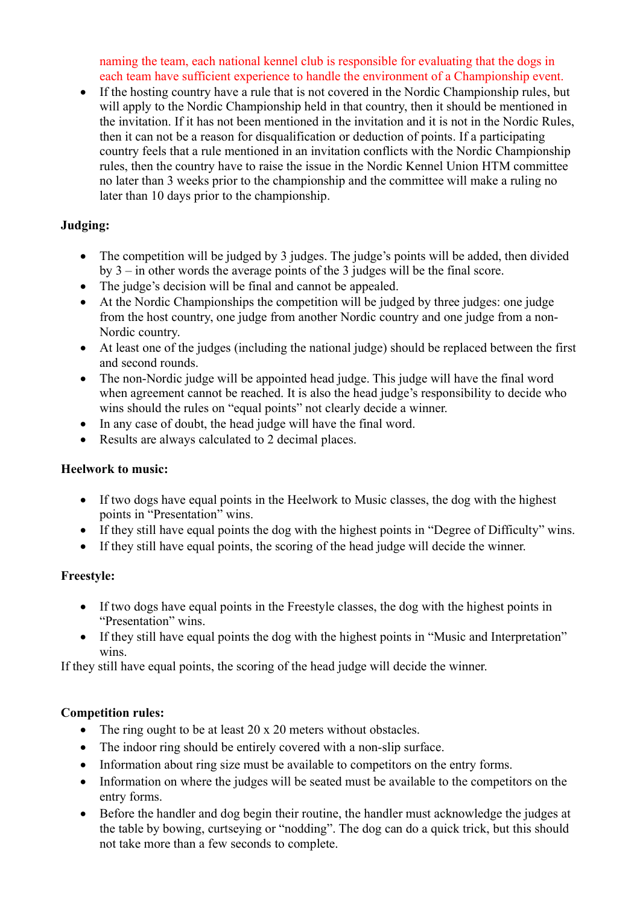naming the team, each national kennel club is responsible for evaluating that the dogs in each team have sufficient experience to handle the environment of a Championship event.

 If the hosting country have a rule that is not covered in the Nordic Championship rules, but will apply to the Nordic Championship held in that country, then it should be mentioned in the invitation. If it has not been mentioned in the invitation and it is not in the Nordic Rules, then it can not be a reason for disqualification or deduction of points. If a participating country feels that a rule mentioned in an invitation conflicts with the Nordic Championship rules, then the country have to raise the issue in the Nordic Kennel Union HTM committee no later than 3 weeks prior to the championship and the committee will make a ruling no later than 10 days prior to the championship.

# Judging:

- The competition will be judged by 3 judges. The judge's points will be added, then divided by 3 – in other words the average points of the 3 judges will be the final score.
- The judge's decision will be final and cannot be appealed.
- At the Nordic Championships the competition will be judged by three judges: one judge from the host country, one judge from another Nordic country and one judge from a non-Nordic country.
- At least one of the judges (including the national judge) should be replaced between the first and second rounds.
- The non-Nordic judge will be appointed head judge. This judge will have the final word when agreement cannot be reached. It is also the head judge's responsibility to decide who wins should the rules on "equal points" not clearly decide a winner.
- In any case of doubt, the head judge will have the final word.
- Results are always calculated to 2 decimal places.

# Heelwork to music:

- If two dogs have equal points in the Heelwork to Music classes, the dog with the highest points in "Presentation" wins.
- If they still have equal points the dog with the highest points in "Degree of Difficulty" wins.
- If they still have equal points, the scoring of the head judge will decide the winner.

# Freestyle:

- If two dogs have equal points in the Freestyle classes, the dog with the highest points in "Presentation" wins.
- If they still have equal points the dog with the highest points in "Music and Interpretation" wins.

If they still have equal points, the scoring of the head judge will decide the winner.

# Competition rules:

- The ring ought to be at least 20 x 20 meters without obstacles.
- The indoor ring should be entirely covered with a non-slip surface.
- Information about ring size must be available to competitors on the entry forms.
- Information on where the judges will be seated must be available to the competitors on the entry forms.
- Before the handler and dog begin their routine, the handler must acknowledge the judges at the table by bowing, curtseying or "nodding". The dog can do a quick trick, but this should not take more than a few seconds to complete.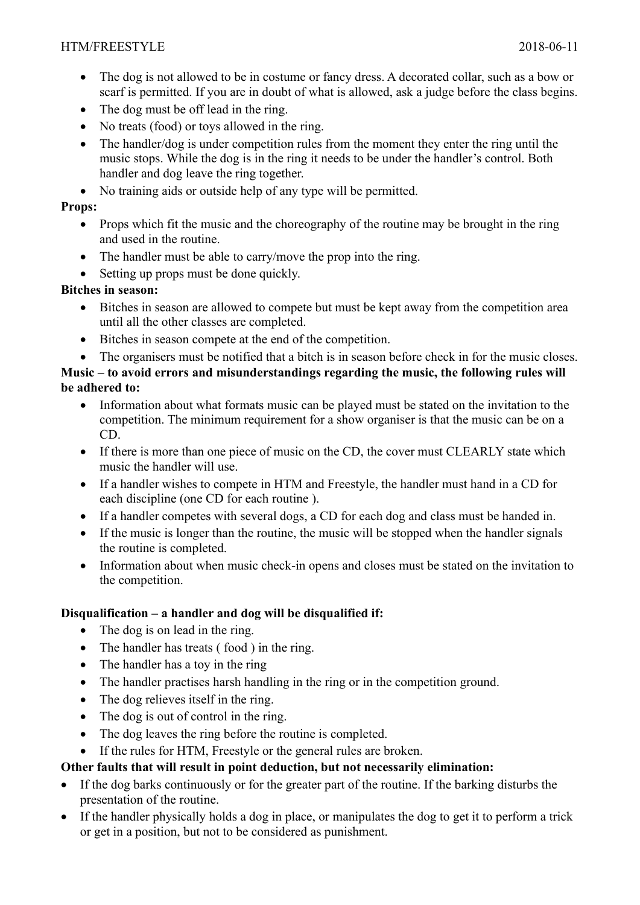- The dog is not allowed to be in costume or fancy dress. A decorated collar, such as a bow or scarf is permitted. If you are in doubt of what is allowed, ask a judge before the class begins.
- The dog must be off lead in the ring.
- No treats (food) or toys allowed in the ring.
- The handler/dog is under competition rules from the moment they enter the ring until the music stops. While the dog is in the ring it needs to be under the handler's control. Both handler and dog leave the ring together.
- No training aids or outside help of any type will be permitted.

## Props:

- Props which fit the music and the choreography of the routine may be brought in the ring and used in the routine.
- The handler must be able to carry/move the prop into the ring.
- Setting up props must be done quickly.

# Bitches in season:

- Bitches in season are allowed to compete but must be kept away from the competition area until all the other classes are completed.
- Bitches in season compete at the end of the competition.
- The organisers must be notified that a bitch is in season before check in for the music closes.

## Music – to avoid errors and misunderstandings regarding the music, the following rules will be adhered to:

- Information about what formats music can be played must be stated on the invitation to the competition. The minimum requirement for a show organiser is that the music can be on a CD.
- If there is more than one piece of music on the CD, the cover must CLEARLY state which music the handler will use.
- If a handler wishes to compete in HTM and Freestyle, the handler must hand in a CD for each discipline (one CD for each routine ).
- If a handler competes with several dogs, a CD for each dog and class must be handed in.
- If the music is longer than the routine, the music will be stopped when the handler signals the routine is completed.
- Information about when music check-in opens and closes must be stated on the invitation to the competition.

# Disqualification – a handler and dog will be disqualified if:

- The dog is on lead in the ring.
- The handler has treats (food) in the ring.
- The handler has a toy in the ring
- The handler practises harsh handling in the ring or in the competition ground.
- The dog relieves itself in the ring.
- The dog is out of control in the ring.
- The dog leaves the ring before the routine is completed.

# If the rules for HTM, Freestyle or the general rules are broken.

# Other faults that will result in point deduction, but not necessarily elimination:

- If the dog barks continuously or for the greater part of the routine. If the barking disturbs the presentation of the routine.
- If the handler physically holds a dog in place, or manipulates the dog to get it to perform a trick or get in a position, but not to be considered as punishment.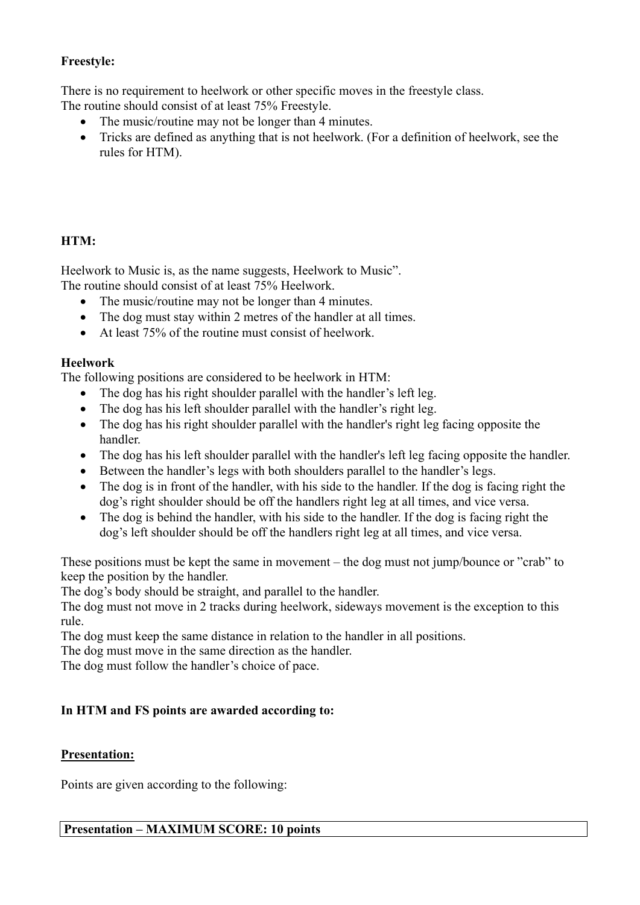## Freestyle:

There is no requirement to heelwork or other specific moves in the freestyle class.

The routine should consist of at least 75% Freestyle.

- The music/routine may not be longer than 4 minutes.
- Tricks are defined as anything that is not heelwork. (For a definition of heelwork, see the rules for HTM).

# HTM:

Heelwork to Music is, as the name suggests, Heelwork to Music".

The routine should consist of at least 75% Heelwork.

- The music/routine may not be longer than 4 minutes.
- The dog must stay within 2 metres of the handler at all times.
- At least 75% of the routine must consist of heelwork.

# Heelwork

The following positions are considered to be heelwork in HTM:

- The dog has his right shoulder parallel with the handler's left leg.
- The dog has his left shoulder parallel with the handler's right leg.
- The dog has his right shoulder parallel with the handler's right leg facing opposite the handler.
- The dog has his left shoulder parallel with the handler's left leg facing opposite the handler.
- Between the handler's legs with both shoulders parallel to the handler's legs.
- The dog is in front of the handler, with his side to the handler. If the dog is facing right the dog's right shoulder should be off the handlers right leg at all times, and vice versa.
- The dog is behind the handler, with his side to the handler. If the dog is facing right the dog's left shoulder should be off the handlers right leg at all times, and vice versa.

These positions must be kept the same in movement – the dog must not jump/bounce or "crab" to keep the position by the handler.

The dog's body should be straight, and parallel to the handler.

The dog must not move in 2 tracks during heelwork, sideways movement is the exception to this rule.

The dog must keep the same distance in relation to the handler in all positions.

The dog must move in the same direction as the handler.

The dog must follow the handler's choice of pace.

# In HTM and FS points are awarded according to:

# Presentation:

Points are given according to the following: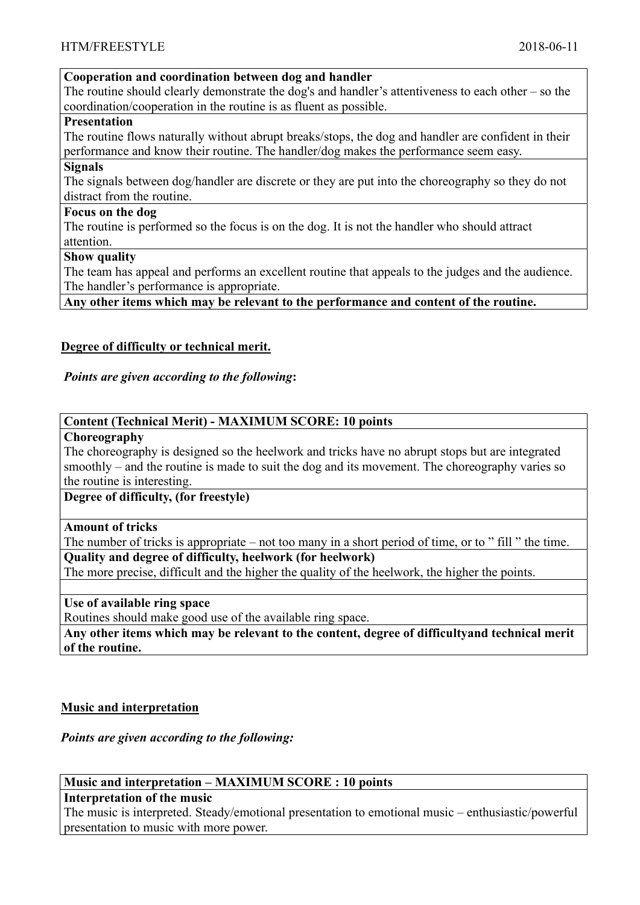## Cooperation and coordination between dog and handler

The routine should clearly demonstrate the dog's and handler's attentiveness to each other – so the coordination/cooperation in the routine is as fluent as possible.

#### Presentation

The routine flows naturally without abrupt breaks/stops, the dog and handler are confident in their performance and know their routine. The handler/dog makes the performance seem easy.

#### **Signals**

The signals between dog/handler are discrete or they are put into the choreography so they do not distract from the routine.

## Focus on the dog

The routine is performed so the focus is on the dog. It is not the handler who should attract attention.

#### Show quality

The team has appeal and performs an excellent routine that appeals to the judges and the audience. The handler's performance is appropriate.

Any other items which may be relevant to the performance and content of the routine.

## Degree of difficulty or technical merit.

## Points are given according to the following:

## Content (Technical Merit) - MAXIMUM SCORE: 10 points

#### Choreography

The choreography is designed so the heelwork and tricks have no abrupt stops but are integrated smoothly – and the routine is made to suit the dog and its movement. The choreography varies so the routine is interesting.

## Degree of difficulty, (for freestyle)

## Amount of tricks

The number of tricks is appropriate – not too many in a short period of time, or to " fill " the time.

# Quality and degree of difficulty, heelwork (for heelwork)

The more precise, difficult and the higher the quality of the heelwork, the higher the points.

## Use of available ring space

Routines should make good use of the available ring space.

Any other items which may be relevant to the content, degree of difficultyand technical merit of the routine.

## Music and interpretation

## Points are given according to the following:

## Music and interpretation – MAXIMUM SCORE : 10 points

## Interpretation of the music

The music is interpreted. Steady/emotional presentation to emotional music – enthusiastic/powerful presentation to music with more power.